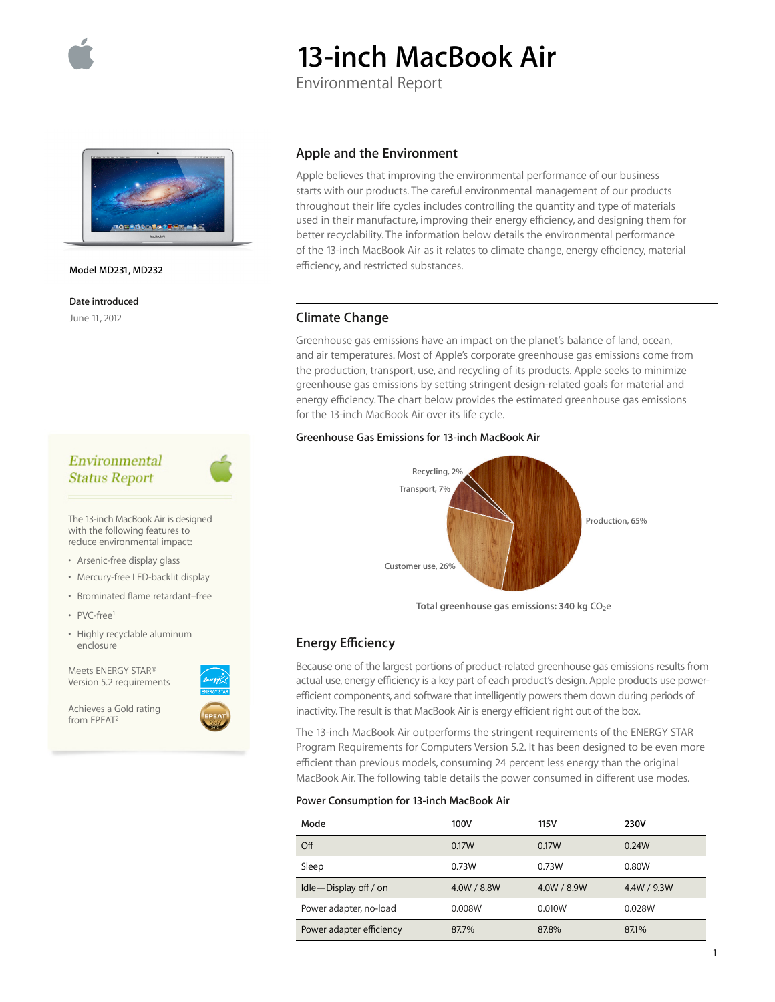

# **13-inch MacBook Air**

Environmental Report



#### **Model MD231, MD232**

**Date introduced**

June 11, 2012

# Environmental **Status Report**

The 13-inch MacBook Air is designed with the following features to reduce environmental impact:

- Arsenic-free display glass
- Mercury-free LED-backlit display
- Brominated flame retardant–free
- PVC-free<sup>1</sup>
- Highly recyclable aluminum enclosure

Meets ENERGY STAR® Version 5.2 requirements

Achieves a Gold rating from EPEAT2

## **Apple and the Environment**

Apple believes that improving the environmental performance of our business starts with our products. The careful environmental management of our products throughout their life cycles includes controlling the quantity and type of materials used in their manufacture, improving their energy efficiency, and designing them for better recyclability. The information below details the environmental performance of the 13-inch MacBook Air as it relates to climate change, energy efficiency, material efficiency, and restricted substances.

## **Climate Change**

Greenhouse gas emissions have an impact on the planet's balance of land, ocean, and air temperatures. Most of Apple's corporate greenhouse gas emissions come from the production, transport, use, and recycling of its products. Apple seeks to minimize greenhouse gas emissions by setting stringent design-related goals for material and energy efficiency. The chart below provides the estimated greenhouse gas emissions for the 13-inch MacBook Air over its life cycle.

## **Greenhouse Gas Emissions for 13-inch MacBook Air**



Total greenhouse gas emissions: 340 kg CO<sub>2</sub>e

# **Energy Efficiency**

Because one of the largest portions of product-related greenhouse gas emissions results from actual use, energy efficiency is a key part of each product's design. Apple products use powerefficient components, and software that intelligently powers them down during periods of inactivity. The result is that MacBook Air is energy efficient right out of the box.

The 13-inch MacBook Air outperforms the stringent requirements of the ENERGY STAR Program Requirements for Computers Version 5.2. It has been designed to be even more efficient than previous models, consuming 24 percent less energy than the original MacBook Air. The following table details the power consumed in different use modes.

#### **Power Consumption for 13-inch MacBook Air**

| Mode                      | 100V        | 115 V       | 230V        |
|---------------------------|-------------|-------------|-------------|
| $\overline{Off}$          | 0.17W       | 0.17W       | 0.24W       |
| Sleep                     | 0.73W       | 0.73W       | 0.80W       |
| $Idle$ - Display off / on | 4.0W / 8.8W | 4.0W / 8.9W | 4.4W / 9.3W |
| Power adapter, no-load    | 0.008W      | 0.010W      | 0.028W      |
| Power adapter efficiency  | 87.7%       | 87.8%       | 87.1%       |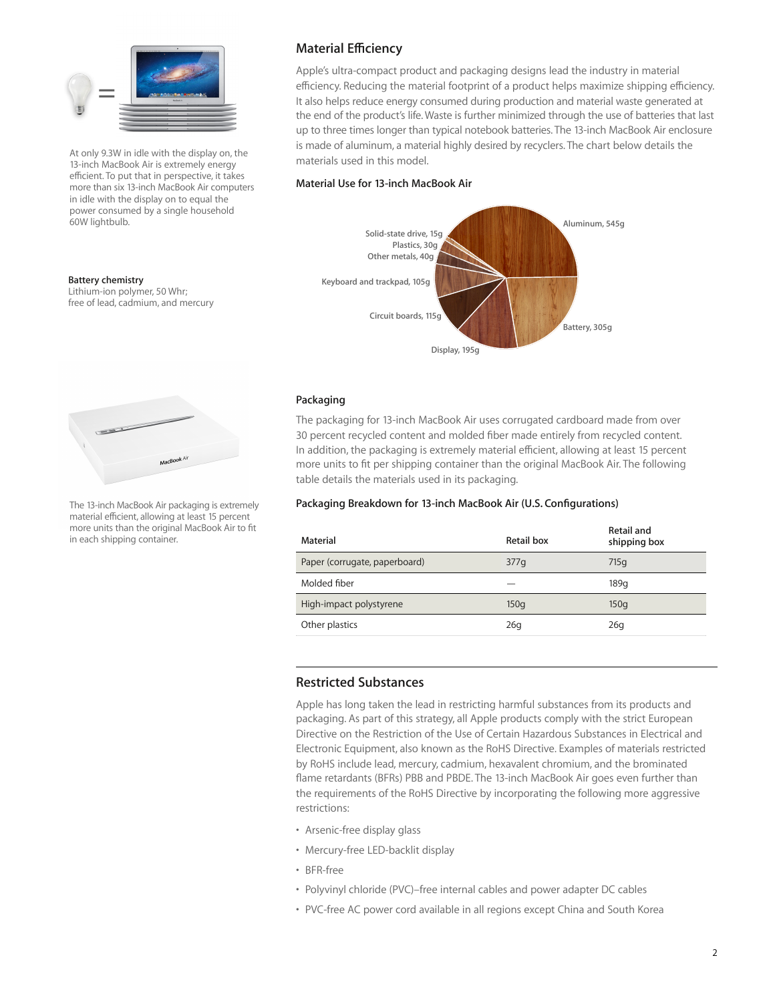

At only 9.3W in idle with the display on, the 13-inch MacBook Air is extremely energy efficient. To put that in perspective, it takes more than six 13-inch MacBook Air computers in idle with the display on to equal the power consumed by a single household 60W lightbulb.

#### **Battery chemistry**

Lithium-ion polymer, 50 Whr; free of lead, cadmium, and mercury



The 13-inch MacBook Air packaging is extremely material efficient, allowing at least 15 percent more units than the original MacBook Air to fit in each shipping container.

# **Material Efficiency**

Apple's ultra-compact product and packaging designs lead the industry in material efficiency. Reducing the material footprint of a product helps maximize shipping efficiency. It also helps reduce energy consumed during production and material waste generated at the end of the product's life. Waste is further minimized through the use of batteries that last up to three times longer than typical notebook batteries. The 13-inch MacBook Air enclosure is made of aluminum, a material highly desired by recyclers. The chart below details the materials used in this model.

## **Material Use for 13-inch MacBook Air**



## **Packaging**

The packaging for 13-inch MacBook Air uses corrugated cardboard made from over 30 percent recycled content and molded fiber made entirely from recycled content. In addition, the packaging is extremely material efficient, allowing at least 15 percent more units to fit per shipping container than the original MacBook Air. The following table details the materials used in its packaging.

## **Packaging Breakdown for 13-inch MacBook Air (U.S. Configurations)**

| Material                      | Retail box | Retail and<br>shipping box |
|-------------------------------|------------|----------------------------|
| Paper (corrugate, paperboard) | 377q       | 715q                       |
| Molded fiber                  |            | 189 <sub>a</sub>           |
| High-impact polystyrene       | 150q       | 150q                       |
| Other plastics                | 26q        | 26q                        |

## **Restricted Substances**

Apple has long taken the lead in restricting harmful substances from its products and packaging. As part of this strategy, all Apple products comply with the strict European Directive on the Restriction of the Use of Certain Hazardous Substances in Electrical and Electronic Equipment, also known as the RoHS Directive. Examples of materials restricted by RoHS include lead, mercury, cadmium, hexavalent chromium, and the brominated flame retardants (BFRs) PBB and PBDE. The 13-inch MacBook Air goes even further than the requirements of the RoHS Directive by incorporating the following more aggressive restrictions:

- Arsenic-free display glass
- Mercury-free LED-backlit display
- BFR-free
- Polyvinyl chloride (PVC)–free internal cables and power adapter DC cables
- PVC-free AC power cord available in all regions except China and South Korea